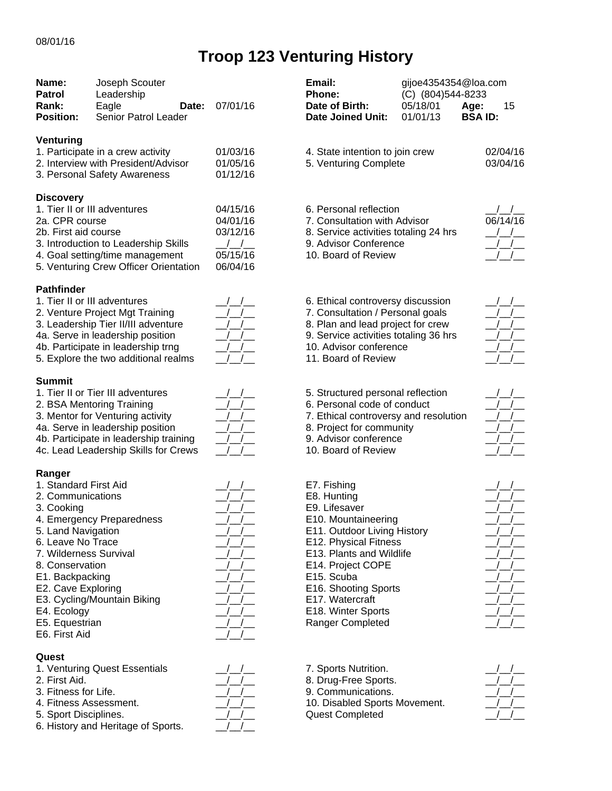## **Troop 123 Venturing History**

| Name:<br><b>Patrol</b><br>Rank:<br><b>Position:</b>                                                                                                                                                                                                   | Joseph Scouter<br>Leadership<br>Eagle<br>Date:<br>Senior Patrol Leader                                                                                                                                                   | 07/01/16                                                                                                  | Email:<br><b>Phone:</b><br>Date of Birth:<br><b>Date Joined Unit:</b>                                                                                                                                                                                                                              | gijoe4354354@loa.com<br>(C) (804)544-8233<br>05/18/01<br>01/01/13 | Age:<br>15<br><b>BSAID:</b> |
|-------------------------------------------------------------------------------------------------------------------------------------------------------------------------------------------------------------------------------------------------------|--------------------------------------------------------------------------------------------------------------------------------------------------------------------------------------------------------------------------|-----------------------------------------------------------------------------------------------------------|----------------------------------------------------------------------------------------------------------------------------------------------------------------------------------------------------------------------------------------------------------------------------------------------------|-------------------------------------------------------------------|-----------------------------|
| Venturing                                                                                                                                                                                                                                             | 1. Participate in a crew activity<br>2. Interview with President/Advisor<br>3. Personal Safety Awareness                                                                                                                 | 01/03/16<br>01/05/16<br>01/12/16                                                                          | 4. State intention to join crew<br>5. Venturing Complete                                                                                                                                                                                                                                           |                                                                   | 02/04/16<br>03/04/16        |
| <b>Discovery</b><br>2a. CPR course<br>2b. First aid course                                                                                                                                                                                            | 1. Tier II or III adventures<br>3. Introduction to Leadership Skills<br>4. Goal setting/time management<br>5. Venturing Crew Officer Orientation                                                                         | 04/15/16<br>04/01/16<br>03/12/16<br>$\left  \begin{array}{c} \end{array} \right $<br>05/15/16<br>06/04/16 | 6. Personal reflection<br>7. Consultation with Advisor<br>8. Service activities totaling 24 hrs<br>9. Advisor Conference<br>10. Board of Review                                                                                                                                                    |                                                                   | 06/14/16                    |
| <b>Pathfinder</b>                                                                                                                                                                                                                                     | 1. Tier II or III adventures<br>2. Venture Project Mgt Training<br>3. Leadership Tier II/III adventure<br>4a. Serve in leadership position<br>4b. Participate in leadership trng<br>5. Explore the two additional realms | $\frac{1}{2}$                                                                                             | 6. Ethical controversy discussion<br>7. Consultation / Personal goals<br>8. Plan and lead project for crew<br>9. Service activities totaling 36 hrs<br>10. Advisor conference<br>11. Board of Review                                                                                               |                                                                   |                             |
| <b>Summit</b>                                                                                                                                                                                                                                         | 1. Tier II or Tier III adventures<br>2. BSA Mentoring Training<br>3. Mentor for Venturing activity<br>4a. Serve in leadership position<br>4b. Participate in leadership training<br>4c. Lead Leadership Skills for Crews | $\frac{1}{\sqrt{1}}$<br>$\frac{1}{2}$<br>$\frac{1}{2}$<br>$\frac{1}{2}$                                   | 5. Structured personal reflection<br>6. Personal code of conduct<br>7. Ethical controversy and resolution<br>8. Project for community<br>9. Advisor conference<br>10. Board of Review                                                                                                              |                                                                   |                             |
| Ranger<br>1. Standard First Aid<br>2. Communications<br>3. Cooking<br>5. Land Navigation<br>6. Leave No Trace<br>7. Wilderness Survival<br>8. Conservation<br>E1. Backpacking<br>E2. Cave Exploring<br>E4. Ecology<br>E5. Equestrian<br>E6. First Aid | 4. Emergency Preparedness<br>E3. Cycling/Mountain Biking                                                                                                                                                                 |                                                                                                           | E7. Fishing<br>E8. Hunting<br>E9. Lifesaver<br>E10. Mountaineering<br>E11. Outdoor Living History<br>E12. Physical Fitness<br>E13. Plants and Wildlife<br>E14. Project COPE<br>E <sub>15</sub> . Scuba<br>E16. Shooting Sports<br>E17. Watercraft<br>E18. Winter Sports<br><b>Ranger Completed</b> |                                                                   |                             |
| Quest<br>2. First Aid.<br>3. Fitness for Life.<br>4. Fitness Assessment.<br>5. Sport Disciplines.                                                                                                                                                     | 1. Venturing Quest Essentials<br>6. History and Heritage of Sports.                                                                                                                                                      |                                                                                                           | 7. Sports Nutrition.<br>8. Drug-Free Sports.<br>9. Communications.<br>10. Disabled Sports Movement.<br><b>Quest Completed</b>                                                                                                                                                                      |                                                                   |                             |

| Email:<br>Phone:<br>Date of Birth:<br><b>Date Joined Unit:</b>                                                                                                                                                                                                                 | gijoe4354354@loa.com<br>(C) (804)544-8233<br>05/18/01 Age:<br>01/01/13 BSA ID: |                                                     | 15                                                                                                                                                     |
|--------------------------------------------------------------------------------------------------------------------------------------------------------------------------------------------------------------------------------------------------------------------------------|--------------------------------------------------------------------------------|-----------------------------------------------------|--------------------------------------------------------------------------------------------------------------------------------------------------------|
| 4. State intention to join crew<br>5. Venturing Complete                                                                                                                                                                                                                       |                                                                                |                                                     | 02/04/16<br>03/04/16                                                                                                                                   |
| 6. Personal reflection<br>7. Consultation with Advisor<br>8. Service activities totaling 24 hrs<br>9. Advisor Conference<br>10. Board of Review                                                                                                                                |                                                                                |                                                     | $\frac{\mu}{\mu}$<br>06/14/16<br>$\frac{\mu}{\mu}$<br>$\frac{\mu}{\mu}$<br>$\frac{1}{2}$                                                               |
| 6. Ethical controversy discussion<br>7. Consultation / Personal goals<br>8. Plan and lead project for crew<br>9. Service activities totaling 36 hrs<br>10. Advisor conference<br>11. Board of Review                                                                           |                                                                                | $\overline{\phantom{a}}$ / $\overline{\phantom{a}}$ | $\frac{\mu}{\mu}$<br>$\overline{\phantom{a}}$ / $\overline{\phantom{a}}$ / $\overline{\phantom{a}}$<br>$\frac{1}{1}$<br>$\frac{1}{2}$<br>$\frac{1}{2}$ |
| 5. Structured personal reflection<br>6. Personal code of conduct<br>7. Ethical controversy and resolution<br>8. Project for community<br>9. Advisor conference<br>10. Board of Review                                                                                          |                                                                                |                                                     | $\left  \begin{array}{c} \end{array} \right $<br>$\begin{array}{c}\n-/- \\ \hline\n-\end{array}$<br>$\frac{\mu}{\mu}$<br>$\frac{\Delta}{\Delta}$       |
| E7. Fishing<br>E8. Hunting<br>E9. Lifesaver<br>E10. Mountaineering<br>E11. Outdoor Living History<br>E12. Physical Fitness<br>E13. Plants and Wildlife<br>E14. Project COPE<br>E15. Scuba<br>E16. Shooting Sports<br>E17. Watercraft<br>E18. Winter Sports<br>Ranger Completed |                                                                                |                                                     | $\frac{\mu}{\mu}$<br>$\frac{1}{1}$<br>$\frac{\mu}{\mu}$<br>$\left  \begin{array}{c} \end{array} \right $                                               |
| 7. Sports Nutrition.<br>8. Drug-Free Sports.                                                                                                                                                                                                                                   |                                                                                |                                                     |                                                                                                                                                        |